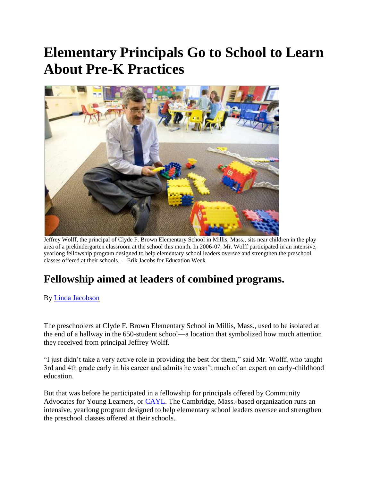## **Elementary Principals Go to School to Learn About Pre-K Practices**



Jeffrey Wolff, the principal of Clyde F. Brown Elementary School in Millis, Mass., sits near children in the play area of a prekindergarten classroom at the school this month. In 2006-07, Mr. Wolff participated in an intensive, yearlong fellowship program designed to help elementary school leaders oversee and strengthen the preschool classes offered at their schools. —Erik Jacobs for Education Week

## **Fellowship aimed at leaders of combined programs.**

By [Linda Jacobson](http://www.edweek.org/ew/contributors/linda.jacobson.html)

The preschoolers at Clyde F. Brown Elementary School in Millis, Mass., used to be isolated at the end of a hallway in the 650-student school—a location that symbolized how much attention they received from principal Jeffrey Wolff.

"I just didn"t take a very active role in providing the best for them," said Mr. Wolff, who taught 3rd and 4th grade early in his career and admits he wasn"t much of an expert on early-childhood education.

But that was before he participated in a fellowship for principals offered by Community Advocates for Young Learners, or [CAYL.](http://www.cayl.org/) The Cambridge, Mass.-based organization runs an intensive, yearlong program designed to help elementary school leaders oversee and strengthen the preschool classes offered at their schools.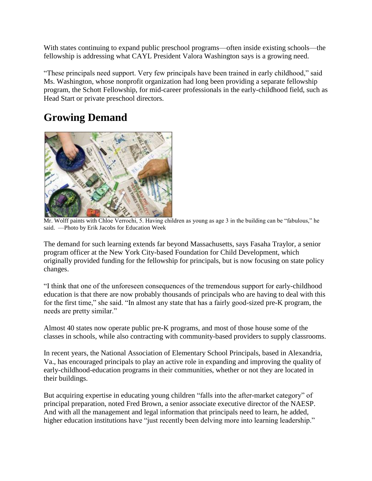With states continuing to expand public preschool programs—often inside existing schools—the fellowship is addressing what CAYL President Valora Washington says is a growing need.

"These principals need support. Very few principals have been trained in early childhood," said Ms. Washington, whose nonprofit organization had long been providing a separate fellowship program, the Schott Fellowship, for mid-career professionals in the early-childhood field, such as Head Start or private preschool directors.

## **Growing Demand**



Mr. Wolff paints with Chloe Verrochi, 5. Having children as young as age 3 in the building can be "fabulous," he said. —Photo by Erik Jacobs for Education Week

The demand for such learning extends far beyond Massachusetts, says Fasaha Traylor, a senior program officer at the New York City-based Foundation for Child Development, which originally provided funding for the fellowship for principals, but is now focusing on state policy changes.

"I think that one of the unforeseen consequences of the tremendous support for early-childhood education is that there are now probably thousands of principals who are having to deal with this for the first time," she said. "In almost any state that has a fairly good-sized pre-K program, the needs are pretty similar."

Almost 40 states now operate public pre-K programs, and most of those house some of the classes in schools, while also contracting with community-based providers to supply classrooms.

In recent years, the National Association of Elementary School Principals, based in Alexandria, Va., has encouraged principals to play an active role in expanding and improving the quality of early-childhood-education programs in their communities, whether or not they are located in their buildings.

But acquiring expertise in educating young children "falls into the after-market category" of principal preparation, noted Fred Brown, a senior associate executive director of the NAESP. And with all the management and legal information that principals need to learn, he added, higher education institutions have "just recently been delving more into learning leadership."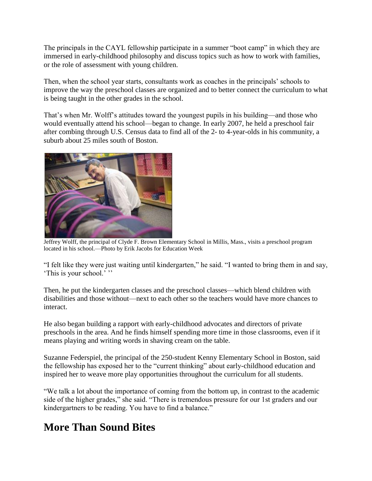The principals in the CAYL fellowship participate in a summer "boot camp" in which they are immersed in early-childhood philosophy and discuss topics such as how to work with families, or the role of assessment with young children.

Then, when the school year starts, consultants work as coaches in the principals" schools to improve the way the preschool classes are organized and to better connect the curriculum to what is being taught in the other grades in the school.

That's when Mr. Wolff's attitudes toward the youngest pupils in his building—and those who would eventually attend his school—began to change. In early 2007, he held a preschool fair after combing through U.S. Census data to find all of the 2- to 4-year-olds in his community, a suburb about 25 miles south of Boston.



Jeffrey Wolff, the principal of Clyde F. Brown Elementary School in Millis, Mass., visits a preschool program located in his school.—Photo by Erik Jacobs for Education Week

"I felt like they were just waiting until kindergarten," he said. "I wanted to bring them in and say, 'This is your school.'"

Then, he put the kindergarten classes and the preschool classes—which blend children with disabilities and those without—next to each other so the teachers would have more chances to interact.

He also began building a rapport with early-childhood advocates and directors of private preschools in the area. And he finds himself spending more time in those classrooms, even if it means playing and writing words in shaving cream on the table.

Suzanne Federspiel, the principal of the 250-student Kenny Elementary School in Boston, said the fellowship has exposed her to the "current thinking" about early-childhood education and inspired her to weave more play opportunities throughout the curriculum for all students.

"We talk a lot about the importance of coming from the bottom up, in contrast to the academic side of the higher grades," she said. "There is tremendous pressure for our 1st graders and our kindergartners to be reading. You have to find a balance."

## **More Than Sound Bites**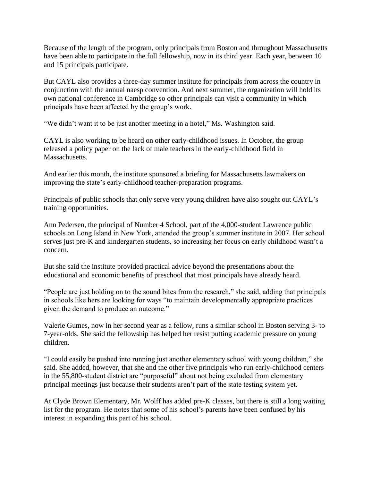Because of the length of the program, only principals from Boston and throughout Massachusetts have been able to participate in the full fellowship, now in its third year. Each year, between 10 and 15 principals participate.

But CAYL also provides a three-day summer institute for principals from across the country in conjunction with the annual naesp convention. And next summer, the organization will hold its own national conference in Cambridge so other principals can visit a community in which principals have been affected by the group"s work.

"We didn"t want it to be just another meeting in a hotel," Ms. Washington said.

CAYL is also working to be heard on other early-childhood issues. In October, the group released a policy paper on the lack of male teachers in the early-childhood field in Massachusetts.

And earlier this month, the institute sponsored a briefing for Massachusetts lawmakers on improving the state"s early-childhood teacher-preparation programs.

Principals of public schools that only serve very young children have also sought out CAYL"s training opportunities.

Ann Pedersen, the principal of Number 4 School, part of the 4,000-student Lawrence public schools on Long Island in New York, attended the group's summer institute in 2007. Her school serves just pre-K and kindergarten students, so increasing her focus on early childhood wasn"t a concern.

But she said the institute provided practical advice beyond the presentations about the educational and economic benefits of preschool that most principals have already heard.

"People are just holding on to the sound bites from the research," she said, adding that principals in schools like hers are looking for ways "to maintain developmentally appropriate practices given the demand to produce an outcome."

Valerie Gumes, now in her second year as a fellow, runs a similar school in Boston serving 3- to 7-year-olds. She said the fellowship has helped her resist putting academic pressure on young children.

"I could easily be pushed into running just another elementary school with young children," she said. She added, however, that she and the other five principals who run early-childhood centers in the 55,800-student district are "purposeful" about not being excluded from elementary principal meetings just because their students aren"t part of the state testing system yet.

At Clyde Brown Elementary, Mr. Wolff has added pre-K classes, but there is still a long waiting list for the program. He notes that some of his school's parents have been confused by his interest in expanding this part of his school.